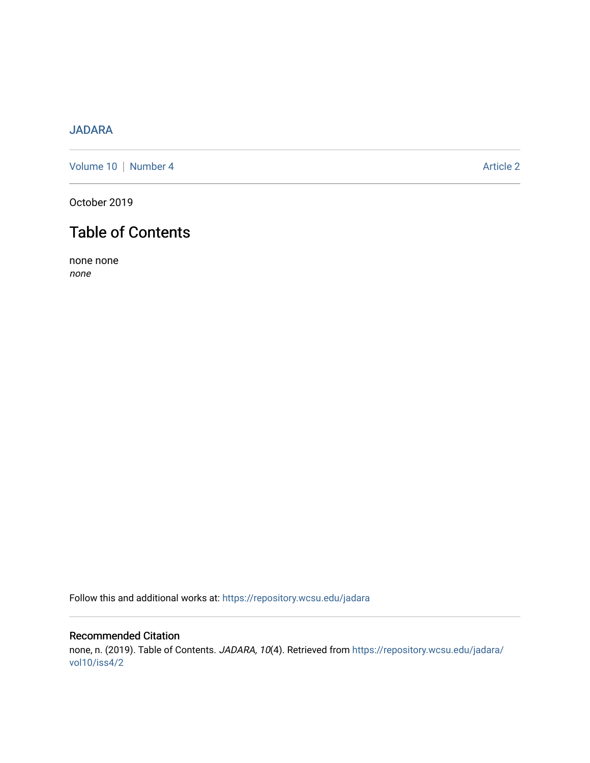## [JADARA](https://repository.wcsu.edu/jadara)

[Volume 10](https://repository.wcsu.edu/jadara/vol10) | [Number 4](https://repository.wcsu.edu/jadara/vol10/iss4) Article 2

October 2019

# Table of Contents

none none none

Follow this and additional works at: [https://repository.wcsu.edu/jadara](https://repository.wcsu.edu/jadara?utm_source=repository.wcsu.edu%2Fjadara%2Fvol10%2Fiss4%2F2&utm_medium=PDF&utm_campaign=PDFCoverPages)

### Recommended Citation none, n. (2019). Table of Contents. JADARA, 10(4). Retrieved from [https://repository.wcsu.edu/jadara/](https://repository.wcsu.edu/jadara/vol10/iss4/2?utm_source=repository.wcsu.edu%2Fjadara%2Fvol10%2Fiss4%2F2&utm_medium=PDF&utm_campaign=PDFCoverPages) [vol10/iss4/2](https://repository.wcsu.edu/jadara/vol10/iss4/2?utm_source=repository.wcsu.edu%2Fjadara%2Fvol10%2Fiss4%2F2&utm_medium=PDF&utm_campaign=PDFCoverPages)